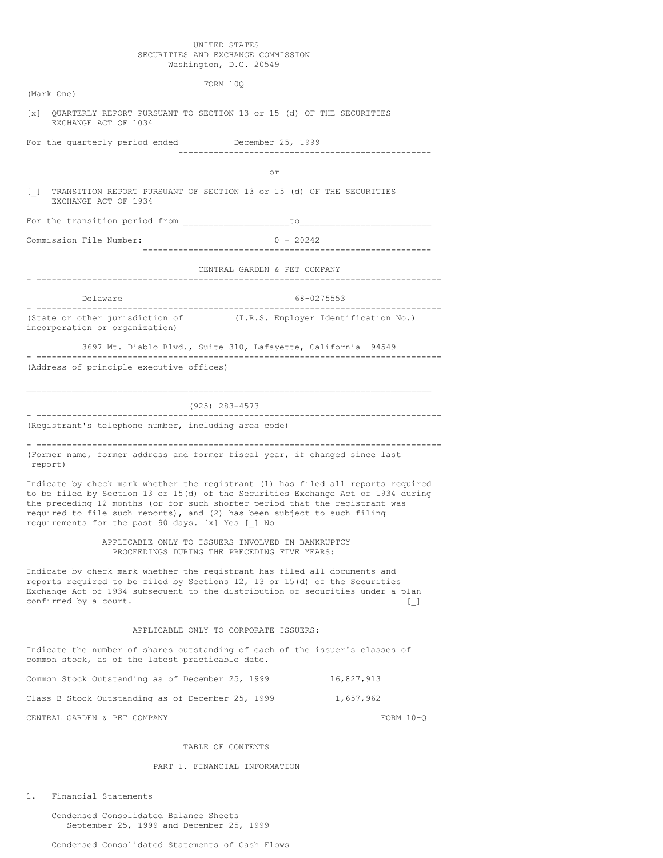## UNITED STATES SECURITIES AND EXCHANGE COMMISSION Washington, D.C. 20549

|                                                                                                                                                                                                                                                                                                                                                                                     |                                                                   | FORM 10Q                                                                                          |             |  |
|-------------------------------------------------------------------------------------------------------------------------------------------------------------------------------------------------------------------------------------------------------------------------------------------------------------------------------------------------------------------------------------|-------------------------------------------------------------------|---------------------------------------------------------------------------------------------------|-------------|--|
| (Mark One)                                                                                                                                                                                                                                                                                                                                                                          |                                                                   |                                                                                                   |             |  |
| $\lceil x \rceil$                                                                                                                                                                                                                                                                                                                                                                   | EXCHANGE ACT OF 1034                                              | QUARTERLY REPORT PURSUANT TO SECTION 13 or 15 (d) OF THE SECURITIES                               |             |  |
|                                                                                                                                                                                                                                                                                                                                                                                     | For the quarterly period ended December 25, 1999                  |                                                                                                   |             |  |
|                                                                                                                                                                                                                                                                                                                                                                                     |                                                                   |                                                                                                   |             |  |
|                                                                                                                                                                                                                                                                                                                                                                                     |                                                                   | or                                                                                                |             |  |
|                                                                                                                                                                                                                                                                                                                                                                                     | EXCHANGE ACT OF 1934                                              | [ ] TRANSITION REPORT PURSUANT OF SECTION 13 or 15 (d) OF THE SECURITIES                          |             |  |
|                                                                                                                                                                                                                                                                                                                                                                                     |                                                                   |                                                                                                   |             |  |
| Commission File Number:                                                                                                                                                                                                                                                                                                                                                             |                                                                   | $0 - 20242$                                                                                       |             |  |
|                                                                                                                                                                                                                                                                                                                                                                                     |                                                                   | CENTRAL GARDEN & PET COMPANY                                                                      |             |  |
|                                                                                                                                                                                                                                                                                                                                                                                     |                                                                   |                                                                                                   |             |  |
|                                                                                                                                                                                                                                                                                                                                                                                     | Delaware                                                          | 68-0275553<br>--------------------------------                                                    |             |  |
|                                                                                                                                                                                                                                                                                                                                                                                     | (State or other jurisdiction of<br>incorporation or organization) | (I.R.S. Employer Identification No.)                                                              |             |  |
|                                                                                                                                                                                                                                                                                                                                                                                     |                                                                   | 3697 Mt. Diablo Blvd., Suite 310, Lafayette, California 94549                                     |             |  |
|                                                                                                                                                                                                                                                                                                                                                                                     | (Address of principle executive offices)                          |                                                                                                   |             |  |
|                                                                                                                                                                                                                                                                                                                                                                                     | ---------------------------                                       | (925) 283-4573<br>-----------------------                                                         |             |  |
|                                                                                                                                                                                                                                                                                                                                                                                     | (Registrant's telephone number, including area code)              |                                                                                                   |             |  |
| report)                                                                                                                                                                                                                                                                                                                                                                             |                                                                   | (Former name, former address and former fiscal year, if changed since last                        |             |  |
| Indicate by check mark whether the registrant (1) has filed all reports required<br>to be filed by Section 13 or 15(d) of the Securities Exchange Act of 1934 during<br>the preceding 12 months (or for such shorter period that the registrant was<br>required to file such reports), and (2) has been subject to such filing<br>requirements for the past 90 days. [x] Yes [ ] No |                                                                   |                                                                                                   |             |  |
|                                                                                                                                                                                                                                                                                                                                                                                     |                                                                   | APPLICABLE ONLY TO ISSUERS INVOLVED IN BANKRUPTCY<br>PROCEEDINGS DURING THE PRECEDING FIVE YEARS: |             |  |
| Indicate by check mark whether the registrant has filed all documents and<br>reports required to be filed by Sections 12, 13 or 15(d) of the Securities<br>Exchange Act of 1934 subsequent to the distribution of securities under a plan<br>confirmed by a court.<br>$\begin{array}{c} \square \end{array}$                                                                        |                                                                   |                                                                                                   |             |  |
|                                                                                                                                                                                                                                                                                                                                                                                     |                                                                   | APPLICABLE ONLY TO CORPORATE ISSUERS:                                                             |             |  |
|                                                                                                                                                                                                                                                                                                                                                                                     | common stock, as of the latest practicable date.                  | Indicate the number of shares outstanding of each of the issuer's classes of                      |             |  |
|                                                                                                                                                                                                                                                                                                                                                                                     | Common Stock Outstanding as of December 25, 1999                  |                                                                                                   | 16,827,913  |  |
|                                                                                                                                                                                                                                                                                                                                                                                     | Class B Stock Outstanding as of December 25, 1999                 |                                                                                                   | 1,657,962   |  |
|                                                                                                                                                                                                                                                                                                                                                                                     | CENTRAL GARDEN & PET COMPANY                                      |                                                                                                   | FORM $10-Q$ |  |
|                                                                                                                                                                                                                                                                                                                                                                                     |                                                                   |                                                                                                   |             |  |

## TABLE OF CONTENTS

## PART 1. FINANCIAL INFORMATION

1. Financial Statements

Condensed Consolidated Balance Sheets September 25, 1999 and December 25, 1999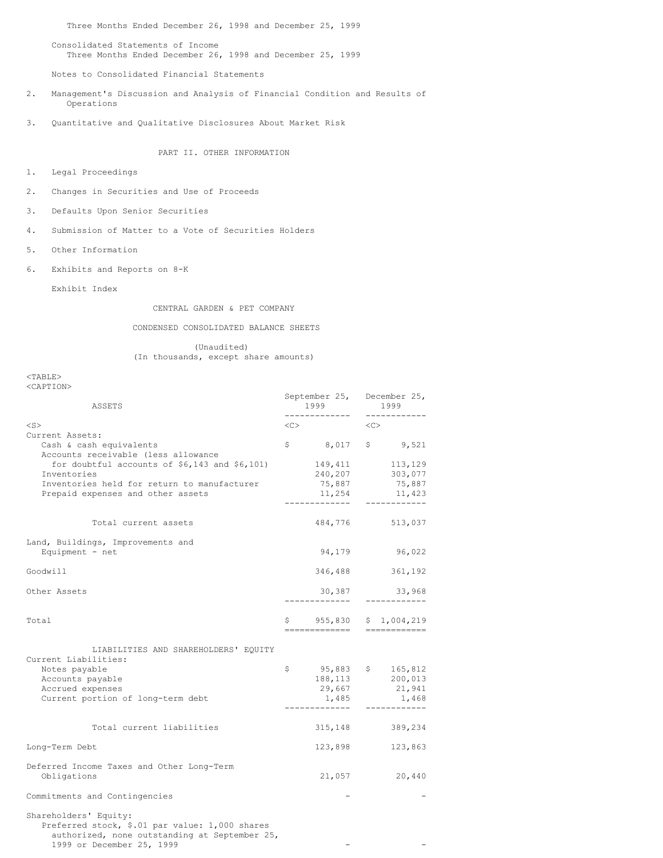Three Months Ended December 26, 1998 and December 25, 1999

Consolidated Statements of Income Three Months Ended December 26, 1998 and December 25, 1999

Notes to Consolidated Financial Statements

- 2. Management's Discussion and Analysis of Financial Condition and Results of Operations
- 3. Quantitative and Qualitative Disclosures About Market Risk

PART II. OTHER INFORMATION

- 1. Legal Proceedings
- 2. Changes in Securities and Use of Proceeds
- 3. Defaults Upon Senior Securities
- 4. Submission of Matter to a Vote of Securities Holders
- 5. Other Information
- 6. Exhibits and Reports on 8-K

Exhibit Index

## CENTRAL GARDEN & PET COMPANY

CONDENSED CONSOLIDATED BALANCE SHEETS

(Unaudited) (In thousands, except share amounts)

#### $<$ TABLE $>$  $C$   $\lambda$  D<sub>m</sub>  $T$  $\cap$ <sup>N</sup>

| <caption></caption>                                                                                                      |              |                                                     |           |                                  |
|--------------------------------------------------------------------------------------------------------------------------|--------------|-----------------------------------------------------|-----------|----------------------------------|
| ASSETS                                                                                                                   |              | September 25, December 25,<br>1999<br>------------- |           | 1999<br>------------             |
| $<$ S $>$                                                                                                                | <<>          |                                                     | < <c></c> |                                  |
|                                                                                                                          |              |                                                     |           |                                  |
| Current Assets:                                                                                                          |              |                                                     |           | $$ 8,017 \t $ 9,521$             |
| Cash & cash equivalents                                                                                                  |              |                                                     |           |                                  |
| Accounts receivable (less allowance                                                                                      |              |                                                     |           |                                  |
| for doubtful accounts of $$6,143$ and $$6,101)$                                                                          |              |                                                     |           | 149, 411 113, 129                |
| Inventories                                                                                                              |              | 240, 207                                            |           | 303,077                          |
| Inventories held for return to manufacturer                                                                              |              | 75,887                                              |           | 75,887                           |
| Prepaid expenses and other assets                                                                                        |              |                                                     |           | 11,254 11,423                    |
|                                                                                                                          |              | -------------                                       |           | ___________                      |
| Total current assets                                                                                                     |              |                                                     |           | 484,776 513,037                  |
| Land, Buildings, Improvements and                                                                                        |              |                                                     |           |                                  |
|                                                                                                                          |              |                                                     |           |                                  |
| Equipment - $net$                                                                                                        |              | 94,179                                              |           | 96,022                           |
| Goodwill                                                                                                                 |              |                                                     |           | 346,488 361,192                  |
|                                                                                                                          |              |                                                     |           |                                  |
| Other Assets                                                                                                             |              |                                                     |           |                                  |
|                                                                                                                          |              |                                                     |           |                                  |
| Total                                                                                                                    |              |                                                     |           | $$955,830 \t$1,004,219$          |
|                                                                                                                          |              |                                                     |           | ============================     |
|                                                                                                                          |              |                                                     |           |                                  |
| LIABILITIES AND SHAREHOLDERS' EQUITY                                                                                     |              |                                                     |           |                                  |
| Current Liabilities:                                                                                                     |              |                                                     |           |                                  |
|                                                                                                                          | $\mathsf{S}$ |                                                     |           |                                  |
| Notes payable                                                                                                            |              |                                                     |           | $95,883$ \$ 165,812              |
| Accounts payable                                                                                                         |              |                                                     |           | 188,113 200,013<br>29,667 21,941 |
| Accrued expenses                                                                                                         |              |                                                     |           |                                  |
| Current portion of long-term debt                                                                                        |              | 1,485                                               |           | 1,468                            |
|                                                                                                                          |              |                                                     |           | ------------                     |
| Total current liabilities                                                                                                |              |                                                     |           | 315, 148 389, 234                |
|                                                                                                                          |              |                                                     |           |                                  |
| Long-Term Debt                                                                                                           |              | 123,898                                             |           | 123,863                          |
| Deferred Income Taxes and Other Long-Term                                                                                |              |                                                     |           |                                  |
| Obligations                                                                                                              |              | 21,057                                              |           | 20,440                           |
|                                                                                                                          |              |                                                     |           |                                  |
| Commitments and Contingencies                                                                                            |              |                                                     |           |                                  |
| Shareholders' Equity:<br>Preferred stock, \$.01 par value: 1,000 shares<br>authorized, none outstanding at September 25, |              |                                                     |           |                                  |
| 1999 or December 25, 1999                                                                                                |              |                                                     |           |                                  |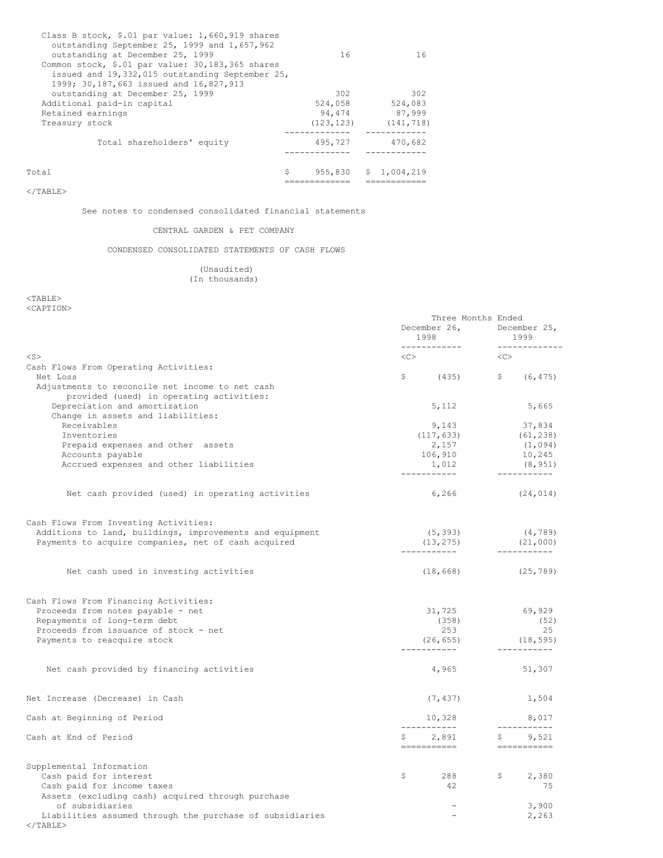| Total                                                                                               | 955,830<br>\$ | \$1,004,219 |
|-----------------------------------------------------------------------------------------------------|---------------|-------------|
| Total shareholders' equity                                                                          | 495,727       | 470,682     |
| Treasury stock                                                                                      | (123, 123)    | (141, 718)  |
| Retained earnings                                                                                   | 94.474        | 87,999      |
| Additional paid-in capital                                                                          | 524,058       | 524,083     |
| outstanding at December 25, 1999                                                                    | 302           | 302         |
| 1999; 30,187,663 issued and 16,827,913                                                              |               |             |
| Common stock, \$.01 par value: 30,183,365 shares<br>issued and 19,332,015 outstanding September 25, |               |             |
| outstanding at December 25, 1999                                                                    | 16            | 16          |
| outstanding September 25, 1999 and 1,657,962                                                        |               |             |
| Class B stock, \$.01 par value: 1,660,919 shares                                                    |               |             |

 $<$  /  ${\tt TABLE}$   $>$ 

See notes to condensed consolidated financial statements

## CENTRAL GARDEN & PET COMPANY

CONDENSED CONSOLIDATED STATEMENTS OF CASH FLOWS

## (Unaudited) (In thousands)

 $<$ TABLE $>$ <CAPTION>

|                                                                         | Three Months Ended       |                                           |  |
|-------------------------------------------------------------------------|--------------------------|-------------------------------------------|--|
|                                                                         |                          | December 26, December 25,                 |  |
|                                                                         | 1998 7                   | 1999                                      |  |
| $<$ S $>$                                                               | <<>                      | ______________<br>< <c></c>               |  |
| Cash Flows From Operating Activities:                                   |                          |                                           |  |
| Net Loss                                                                |                          | $\frac{1}{5}$ (435) $\frac{1}{5}$ (6,475) |  |
| Adjustments to reconcile net income to net cash                         |                          |                                           |  |
| provided (used) in operating activities:                                |                          |                                           |  |
| Depreciation and amortization                                           | 5, 112                   | 5,665                                     |  |
| Change in assets and liabilities:                                       |                          |                                           |  |
| Receivables                                                             | 9,143                    | 37,834                                    |  |
| Inventories                                                             | (117, 633)               | (61, 238)                                 |  |
| Prepaid expenses and other assets                                       | 2,157                    | (1, 094)                                  |  |
| Accounts payable                                                        | 106,910                  | 10,245                                    |  |
| Accrued expenses and other liabilities                                  | 1,012                    | (8, 951)<br>____________                  |  |
|                                                                         |                          |                                           |  |
| Net cash provided (used) in operating activities                        | 6,266                    | (24, 014)                                 |  |
| Cash Flows From Investing Activities:                                   |                          |                                           |  |
| Additions to land, buildings, improvements and equipment                | (5, 393)                 | (4, 789)                                  |  |
| Payments to acquire companies, net of cash acquired                     | (13, 275)                | (21,000)                                  |  |
|                                                                         |                          | -----------                               |  |
| Net cash used in investing activities                                   | (18, 668)                | (25, 789)                                 |  |
| Cash Flows From Financing Activities:                                   |                          |                                           |  |
| Proceeds from notes payable - net                                       | 31,725                   | 69,929                                    |  |
| Repayments of long-term debt                                            | (358)                    | (52)                                      |  |
| Proceeds from issuance of stock - net                                   | 253                      | 25                                        |  |
| Payments to reacquire stock                                             | (26, 655)                | (18, 595)                                 |  |
|                                                                         | ------------             | -----------                               |  |
| Net cash provided by financing activities                               | 4,965                    | 51,307                                    |  |
| Net Increase (Decrease) in Cash                                         | (7, 437)                 | 1,504                                     |  |
| Cash at Beginning of Period                                             | 10,328                   | 8,017                                     |  |
| Cash at End of Period                                                   | ------------<br>\$ 2,891 | ____________<br>\$9,521                   |  |
|                                                                         | ===========              | ___________                               |  |
| Supplemental Information                                                |                          |                                           |  |
| Cash paid for interest                                                  | \$<br>288                | $\mathcal{S}$<br>2,380                    |  |
| Cash paid for income taxes                                              | 42                       | 75                                        |  |
| Assets (excluding cash) acquired through purchase                       |                          |                                           |  |
| of subsidiaries                                                         | $\overline{\phantom{a}}$ | 3,900                                     |  |
| Liabilities assumed through the purchase of subsidiaries<br>$<$ /TABLE> | $\overline{\phantom{a}}$ | 2,263                                     |  |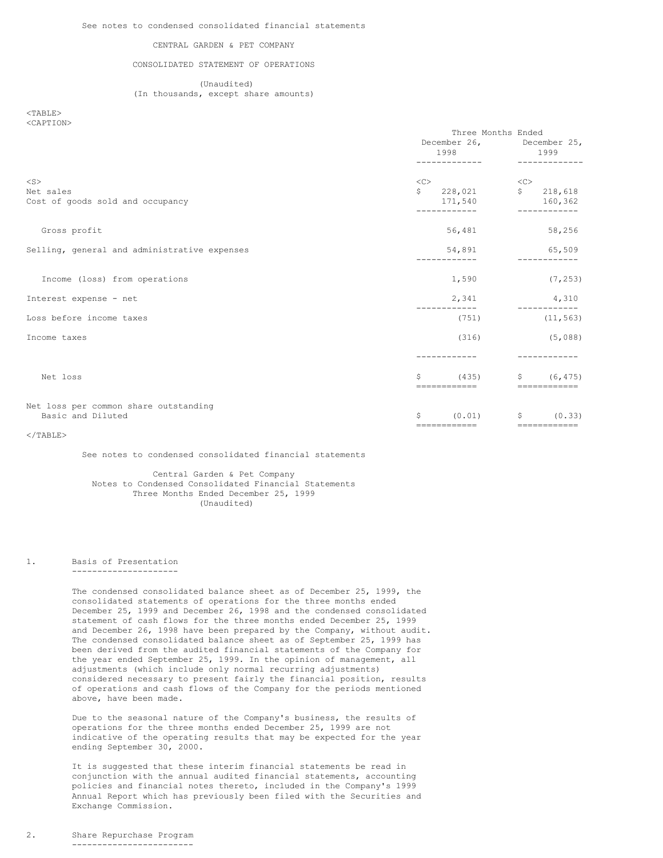#### CENTRAL GARDEN & PET COMPANY

## CONSOLIDATED STATEMENT OF OPERATIONS

(Unaudited) (In thousands, except share amounts)

<TABLE> <CAPTION>

|                                                            | Three Months Ended<br>December 26, December 25,<br>1998<br>1999 |                                                                                                                                                                                                                                                                                                                                                                                                                                                                                                                  |  |  |  |
|------------------------------------------------------------|-----------------------------------------------------------------|------------------------------------------------------------------------------------------------------------------------------------------------------------------------------------------------------------------------------------------------------------------------------------------------------------------------------------------------------------------------------------------------------------------------------------------------------------------------------------------------------------------|--|--|--|
| $<$ S $>$<br>Net sales<br>Cost of goods sold and occupancy | <<<br>$\ddot{s}$<br>228,021<br>171,540                          | <<<br>S<br>218,618<br>160,362                                                                                                                                                                                                                                                                                                                                                                                                                                                                                    |  |  |  |
| Gross profit                                               | 56,481                                                          | 58,256                                                                                                                                                                                                                                                                                                                                                                                                                                                                                                           |  |  |  |
| Selling, general and administrative expenses               | 54,891                                                          | 65,509                                                                                                                                                                                                                                                                                                                                                                                                                                                                                                           |  |  |  |
| Income (loss) from operations                              | 1,590                                                           | (7, 253)                                                                                                                                                                                                                                                                                                                                                                                                                                                                                                         |  |  |  |
| Interest expense - net                                     | 2,341                                                           | 4,310                                                                                                                                                                                                                                                                                                                                                                                                                                                                                                            |  |  |  |
| Loss before income taxes                                   | (751)                                                           | (11, 563)                                                                                                                                                                                                                                                                                                                                                                                                                                                                                                        |  |  |  |
| Income taxes                                               | (316)                                                           | (5,088)                                                                                                                                                                                                                                                                                                                                                                                                                                                                                                          |  |  |  |
|                                                            |                                                                 |                                                                                                                                                                                                                                                                                                                                                                                                                                                                                                                  |  |  |  |
| Net loss                                                   | \$<br>-------------                                             | (435)<br>\$ (6, 475)<br>============                                                                                                                                                                                                                                                                                                                                                                                                                                                                             |  |  |  |
| Net loss per common share outstanding<br>Basic and Diluted | \$<br>(0.01)<br>-------------                                   | $\mathsf{S}$<br>(0.33)<br>$\begin{array}{cccccccccccccc} \multicolumn{2}{c}{} & \multicolumn{2}{c}{} & \multicolumn{2}{c}{} & \multicolumn{2}{c}{} & \multicolumn{2}{c}{} & \multicolumn{2}{c}{} & \multicolumn{2}{c}{} & \multicolumn{2}{c}{} & \multicolumn{2}{c}{} & \multicolumn{2}{c}{} & \multicolumn{2}{c}{} & \multicolumn{2}{c}{} & \multicolumn{2}{c}{} & \multicolumn{2}{c}{} & \multicolumn{2}{c}{} & \multicolumn{2}{c}{} & \multicolumn{2}{c}{} & \multicolumn{2}{c}{} & \multicolumn{2}{c}{} & \$ |  |  |  |

 $<$ /TABLE>

## See notes to condensed consolidated financial statements

Central Garden & Pet Company Notes to Condensed Consolidated Financial Statements Three Months Ended December 25, 1999 (Unaudited)

1. Basis of Presentation

---------------------

The condensed consolidated balance sheet as of December 25, 1999, the consolidated statements of operations for the three months ended December 25, 1999 and December 26, 1998 and the condensed consolidated statement of cash flows for the three months ended December 25, 1999 and December 26, 1998 have been prepared by the Company, without audit. The condensed consolidated balance sheet as of September 25, 1999 has been derived from the audited financial statements of the Company for the year ended September 25, 1999. In the opinion of management, all adjustments (which include only normal recurring adjustments) considered necessary to present fairly the financial position, results of operations and cash flows of the Company for the periods mentioned above, have been made.

Due to the seasonal nature of the Company's business, the results of operations for the three months ended December 25, 1999 are not indicative of the operating results that may be expected for the year ending September 30, 2000.

It is suggested that these interim financial statements be read in conjunction with the annual audited financial statements, accounting policies and financial notes thereto, included in the Company's 1999 Annual Report which has previously been filed with the Securities and Exchange Commission.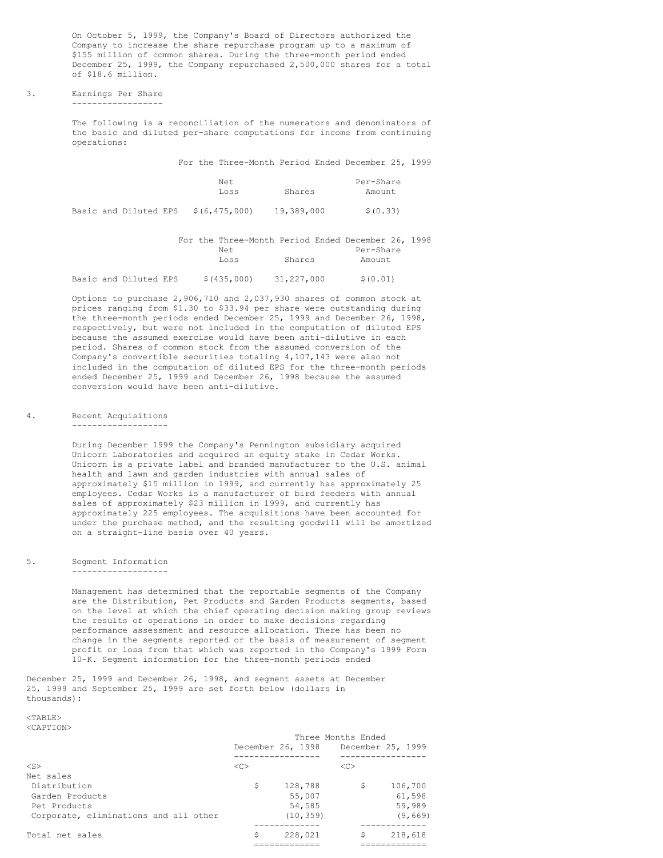On October 5, 1999, the Company's Board of Directors authorized the Company to increase the share repurchase program up to a maximum of \$155 million of common shares. During the three-month period ended December 25, 1999, the Company repurchased 2,500,000 shares for a total of \$18.6 million.

# 3. Earnings Per Share

------------------

The following is a reconciliation of the numerators and denominators of the basic and diluted per-share computations for income from continuing operations:

For the Three-Month Period Ended December 25, 1999

|  |                       |  | Net.<br>Loss    | Shares     | Per-Share<br>Amount |
|--|-----------------------|--|-----------------|------------|---------------------|
|  | Basic and Diluted EPS |  | \$(6, 475, 000) | 19,389,000 | \$ (0.33)           |

|  |                       |  | For the Three-Month Period Ended December 26, 1998 |            |           |  |
|--|-----------------------|--|----------------------------------------------------|------------|-----------|--|
|  |                       |  | Net.                                               |            | Per-Share |  |
|  |                       |  | Loss                                               | Shares     | Amount    |  |
|  |                       |  |                                                    |            |           |  |
|  | Basic and Diluted EPS |  | \$(435,000)                                        | 31,227,000 | \$(0.01)  |  |

Options to purchase 2,906,710 and 2,037,930 shares of common stock at prices ranging from \$1.30 to \$33.94 per share were outstanding during the three-month periods ended December 25, 1999 and December 26, 1998, respectively, but were not included in the computation of diluted EPS because the assumed exercise would have been anti-dilutive in each period. Shares of common stock from the assumed conversion of the Company's convertible securities totaling 4,107,143 were also not included in the computation of diluted EPS for the three-month periods ended December 25, 1999 and December 26, 1998 because the assumed conversion would have been anti-dilutive.

## 4. Recent Acquisitions

-------------------

During December 1999 the Company's Pennington subsidiary acquired Unicorn Laboratories and acquired an equity stake in Cedar Works. Unicorn is a private label and branded manufacturer to the U.S. animal health and lawn and garden industries with annual sales of approximately \$15 million in 1999, and currently has approximately 25 employees. Cedar Works is a manufacturer of bird feeders with annual sales of approximately \$23 million in 1999, and currently has approximately 225 employees. The acquisitions have been accounted for under the purchase method, and the resulting goodwill will be amortized on a straight-line basis over 40 years.

#### 5. Segment Information -------------------

Management has determined that the reportable segments of the Company are the Distribution, Pet Products and Garden Products segments, based on the level at which the chief operating decision making group reviews the results of operations in order to make decisions regarding performance assessment and resource allocation. There has been no change in the segments reported or the basis of measurement of segment profit or loss from that which was reported in the Company's 1999 Form 10-K. Segment information for the three-month periods ended

December 25, 1999 and December 26, 1998, and segment assets at December 25, 1999 and September 25, 1999 are set forth below (dollars in thousands):

#### <TABLE> <CAPTION>

|                                                                                                       |               | December 26, 1998 December 25, 1999      | Three Months Ended |                                        |
|-------------------------------------------------------------------------------------------------------|---------------|------------------------------------------|--------------------|----------------------------------------|
| $<$ S $>$                                                                                             | < <sub></sub> |                                          | < <sub></sub>      |                                        |
| Net sales<br>Distribution<br>Garden Products<br>Pet Products<br>Corporate, eliminations and all other | \$            | 128,788<br>55,007<br>54,585<br>(10, 359) | \$                 | 106,700<br>61,598<br>59,989<br>(9,669) |
|                                                                                                       |               |                                          |                    |                                        |
| Total net sales                                                                                       | \$            | 228,021                                  | \$                 | 218,618                                |
|                                                                                                       |               |                                          |                    |                                        |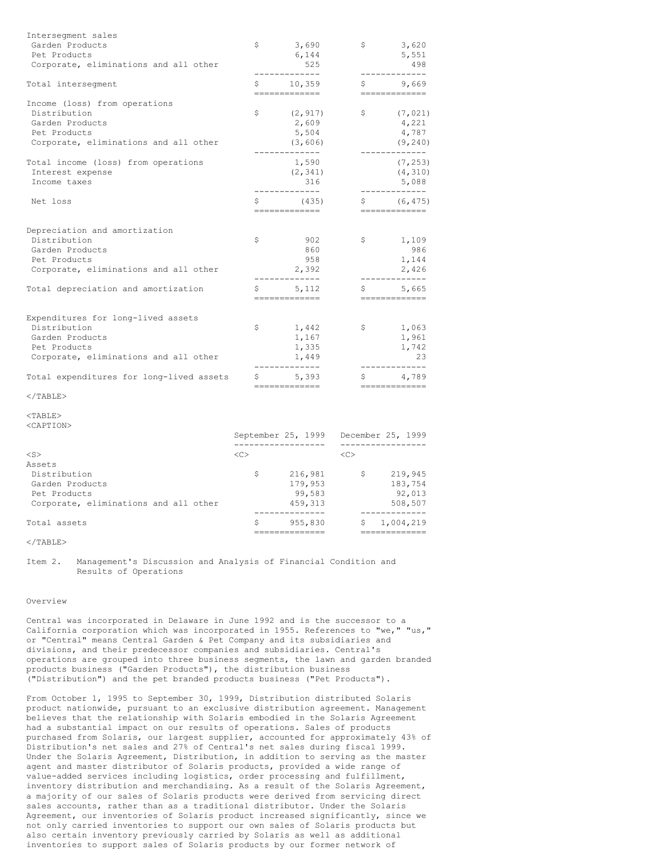| Interseqment sales                       |             |                         |              |                           |
|------------------------------------------|-------------|-------------------------|--------------|---------------------------|
| Garden Products                          | \$          | 3,690                   | \$           | 3,620                     |
| Pet Products                             |             | 6,144                   |              | 5,551                     |
| Corporate, eliminations and all other    |             | 525                     |              | 498                       |
| Total interseqment                       | $S$ and $S$ | 10,359<br>============= |              | \$9,669<br>-------------- |
| Income (loss) from operations            |             |                         |              |                           |
| Distribution                             | \$          | (2, 917)                | $\mathsf{S}$ | (7, 021)                  |
| Garden Products                          |             | 2,609                   |              | 4,221                     |
| Pet Products                             |             | 5,504                   |              | 4,787                     |
| Corporate, eliminations and all other    |             | (3, 606)                |              | (9, 240)                  |
| Total income (loss) from operations      |             | -----------<br>1,590    |              | (7, 253)                  |
| Interest expense                         |             | (2, 341)                |              | (4, 310)                  |
| Income taxes                             |             | 316                     |              | 5,088                     |
| Net loss                                 | \$          | (435)                   | S            | (6, 475)                  |
|                                          |             |                         |              | --------------            |
| Depreciation and amortization            |             |                         |              |                           |
| Distribution                             | \$          | 902                     | $\mathsf{S}$ | 1,109                     |
| Garden Products                          |             | 860                     |              | 986                       |
| Pet Products                             |             | 958                     |              | 1,144                     |
| Corporate, eliminations and all other    |             | 2,392                   |              | 2,426                     |
| Total depreciation and amortization      | \$          | 5,112                   | \$           | 5,665                     |
|                                          |             | =============           |              | --------------            |
| Expenditures for long-lived assets       |             |                         |              |                           |
| Distribution                             | \$          | 1,442                   | \$           | 1,063                     |
| Garden Products                          |             | 1,167                   |              | 1,961                     |
| Pet Products                             |             | 1,335                   |              | 1,742                     |
| Corporate, eliminations and all other    |             | 1,449<br>------------   |              | 23                        |
| Total expenditures for long-lived assets | \$          | 5.393                   | \$           | 4,789                     |
|                                          |             | --------------          |              | --------------            |

#### $\langle$ /TABLE>

 $<$ TABLE> <CAPTION>

|                                       |               | September 25, 1999 |               | December 25, 1999 |
|---------------------------------------|---------------|--------------------|---------------|-------------------|
| $<$ S $>$                             | < <sub></sub> |                    | < <sub></sub> |                   |
| Assets                                |               |                    |               |                   |
| Distribution                          | Ŝ             | 216,981            | S             | 219,945           |
| Garden Products                       |               | 179,953            |               | 183,754           |
| Pet Products                          |               | 99.583             |               | 92,013            |
| Corporate, eliminations and all other |               | 459.313            |               | 508,507           |
|                                       |               |                    |               |                   |
| Total assets                          | Ŝ             | 955,830            | S             | 1,004,219         |
|                                       |               |                    |               |                   |

## $\langle$ /TABLE>

Item 2. Management's Discussion and Analysis of Financial Condition and Results of Operations

## Overview

Central was incorporated in Delaware in June 1992 and is the successor to a California corporation which was incorporated in 1955. References to "we," "us," or "Central" means Central Garden & Pet Company and its subsidiaries and divisions, and their predecessor companies and subsidiaries. Central's operations are grouped into three business segments, the lawn and garden branded products business ("Garden Products"), the distribution business ("Distribution") and the pet branded products business ("Pet Products").

From October 1, 1995 to September 30, 1999, Distribution distributed Solaris product nationwide, pursuant to an exclusive distribution agreement. Management believes that the relationship with Solaris embodied in the Solaris Agreement had a substantial impact on our results of operations. Sales of products purchased from Solaris, our largest supplier, accounted for approximately 43% of Distribution's net sales and 27% of Central's net sales during fiscal 1999. Under the Solaris Agreement, Distribution, in addition to serving as the master agent and master distributor of Solaris products, provided a wide range of value-added services including logistics, order processing and fulfillment, inventory distribution and merchandising. As a result of the Solaris Agreement, a majority of our sales of Solaris products were derived from servicing direct sales accounts, rather than as a traditional distributor. Under the Solaris Agreement, our inventories of Solaris product increased significantly, since we not only carried inventories to support our own sales of Solaris products but also certain inventory previously carried by Solaris as well as additional inventories to support sales of Solaris products by our former network of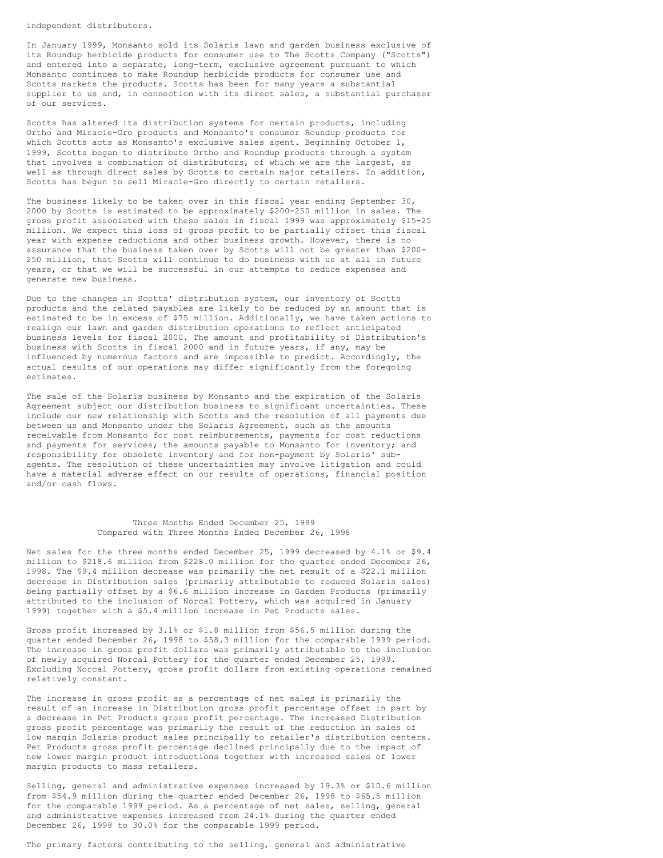independent distributors.

In January 1999, Monsanto sold its Solaris lawn and garden business exclusive of its Roundup herbicide products for consumer use to The Scotts Company ("Scotts") and entered into a separate, long-term, exclusive agreement pursuant to which Monsanto continues to make Roundup herbicide products for consumer use and Scotts markets the products. Scotts has been for many years a substantial supplier to us and, in connection with its direct sales, a substantial purchaser of our services.

Scotts has altered its distribution systems for certain products, including Ortho and Miracle-Gro products and Monsanto's consumer Roundup products for which Scotts acts as Monsanto's exclusive sales agent. Beginning October 1, 1999, Scotts began to distribute Ortho and Roundup products through a system that involves a combination of distributors, of which we are the largest, as well as through direct sales by Scotts to certain major retailers. In addition, Scotts has begun to sell Miracle-Gro directly to certain retailers.

The business likely to be taken over in this fiscal year ending September 30, 2000 by Scotts is estimated to be approximately \$200-250 million in sales. The gross profit associated with these sales in fiscal 1999 was approximately \$15-25 million. We expect this loss of gross profit to be partially offset this fiscal year with expense reductions and other business growth. However, there is no assurance that the business taken over by Scotts will not be greater than \$200- 250 million, that Scotts will continue to do business with us at all in future years, or that we will be successful in our attempts to reduce expenses and generate new business.

Due to the changes in Scotts' distribution system, our inventory of Scotts products and the related payables are likely to be reduced by an amount that is estimated to be in excess of \$75 million. Additionally, we have taken actions to realign our lawn and garden distribution operations to reflect anticipated business levels for fiscal 2000. The amount and profitability of Distribution's business with Scotts in fiscal 2000 and in future years, if any, may be influenced by numerous factors and are impossible to predict. Accordingly, the actual results of our operations may differ significantly from the foregoing estimates.

The sale of the Solaris business by Monsanto and the expiration of the Solaris Agreement subject our distribution business to significant uncertainties. These include our new relationship with Scotts and the resolution of all payments due between us and Monsanto under the Solaris Agreement, such as the amounts receivable from Monsanto for cost reimbursements, payments for cost reductions and payments for services; the amounts payable to Monsanto for inventory; and responsibility for obsolete inventory and for non-payment by Solaris' subagents. The resolution of these uncertainties may involve litigation and could have a material adverse effect on our results of operations, financial position and/or cash flows.

## Three Months Ended December 25, 1999 Compared with Three Months Ended December 26, 1998

Net sales for the three months ended December 25, 1999 decreased by 4.1% or \$9.4 million to \$218.6 million from \$228.0 million for the quarter ended December 26, 1998. The \$9.4 million decrease was primarily the net result of a \$22.1 million decrease in Distribution sales (primarily attributable to reduced Solaris sales) being partially offset by a \$6.6 million increase in Garden Products (primarily attributed to the inclusion of Norcal Pottery, which was acquired in January 1999) together with a \$5.4 million increase in Pet Products sales.

Gross profit increased by 3.1% or \$1.8 million from \$56.5 million during the quarter ended December 26, 1998 to \$58.3 million for the comparable 1999 period. The increase in gross profit dollars was primarily attributable to the inclusion of newly acquired Norcal Pottery for the quarter ended December 25, 1999. Excluding Norcal Pottery, gross profit dollars from existing operations remained relatively constant.

The increase in gross profit as a percentage of net sales is primarily the result of an increase in Distribution gross profit percentage offset in part by a decrease in Pet Products gross profit percentage. The increased Distribution gross profit percentage was primarily the result of the reduction in sales of low margin Solaris product sales principally to retailer's distribution centers. Pet Products gross profit percentage declined principally due to the impact of new lower margin product introductions together with increased sales of lower margin products to mass retailers.

Selling, general and administrative expenses increased by 19.3% or \$10.6 million from \$54.9 million during the quarter ended December 26, 1998 to \$65.5 million for the comparable 1999 period. As a percentage of net sales, selling, general and administrative expenses increased from 24.1% during the quarter ended December 26, 1998 to 30.0% for the comparable 1999 period.

The primary factors contributing to the selling, general and administrative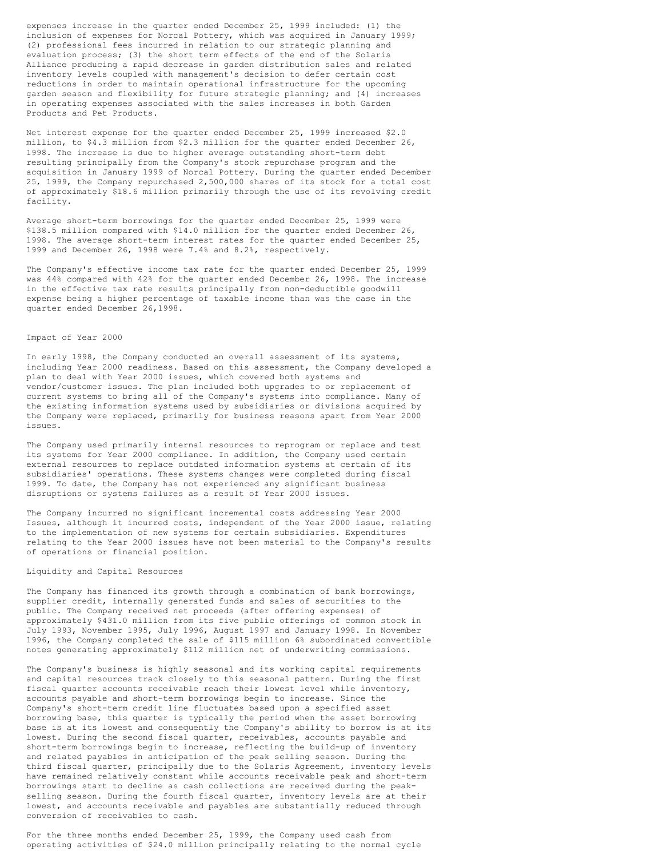expenses increase in the quarter ended December 25, 1999 included: (1) the inclusion of expenses for Norcal Pottery, which was acquired in January 1999; (2) professional fees incurred in relation to our strategic planning and evaluation process; (3) the short term effects of the end of the Solaris Alliance producing a rapid decrease in garden distribution sales and related inventory levels coupled with management's decision to defer certain cost reductions in order to maintain operational infrastructure for the upcoming garden season and flexibility for future strategic planning; and (4) increases in operating expenses associated with the sales increases in both Garden Products and Pet Products.

Net interest expense for the quarter ended December 25, 1999 increased \$2.0 million, to \$4.3 million from \$2.3 million for the quarter ended December 26, 1998. The increase is due to higher average outstanding short-term debt resulting principally from the Company's stock repurchase program and the acquisition in January 1999 of Norcal Pottery. During the quarter ended December 25, 1999, the Company repurchased 2,500,000 shares of its stock for a total cost of approximately \$18.6 million primarily through the use of its revolving credit facility.

Average short-term borrowings for the quarter ended December 25, 1999 were \$138.5 million compared with \$14.0 million for the quarter ended December 26, 1998. The average short-term interest rates for the quarter ended December 25, 1999 and December 26, 1998 were 7.4% and 8.2%, respectively.

The Company's effective income tax rate for the quarter ended December 25, 1999 was 44% compared with 42% for the quarter ended December 26, 1998. The increase in the effective tax rate results principally from non-deductible goodwill expense being a higher percentage of taxable income than was the case in the quarter ended December 26,1998.

## Impact of Year 2000

In early 1998, the Company conducted an overall assessment of its systems, including Year 2000 readiness. Based on this assessment, the Company developed a plan to deal with Year 2000 issues, which covered both systems and vendor/customer issues. The plan included both upgrades to or replacement of current systems to bring all of the Company's systems into compliance. Many of the existing information systems used by subsidiaries or divisions acquired by the Company were replaced, primarily for business reasons apart from Year 2000 issues.

The Company used primarily internal resources to reprogram or replace and test its systems for Year 2000 compliance. In addition, the Company used certain external resources to replace outdated information systems at certain of its subsidiaries' operations. These systems changes were completed during fiscal 1999. To date, the Company has not experienced any significant business disruptions or systems failures as a result of Year 2000 issues.

The Company incurred no significant incremental costs addressing Year 2000 Issues, although it incurred costs, independent of the Year 2000 issue, relating to the implementation of new systems for certain subsidiaries. Expenditures relating to the Year 2000 issues have not been material to the Company's results of operations or financial position.

## Liquidity and Capital Resources

The Company has financed its growth through a combination of bank borrowings, supplier credit, internally generated funds and sales of securities to the public. The Company received net proceeds (after offering expenses) of approximately \$431.0 million from its five public offerings of common stock in July 1993, November 1995, July 1996, August 1997 and January 1998. In November 1996, the Company completed the sale of \$115 million 6% subordinated convertible notes generating approximately \$112 million net of underwriting commissions.

The Company's business is highly seasonal and its working capital requirements and capital resources track closely to this seasonal pattern. During the first fiscal quarter accounts receivable reach their lowest level while inventory, accounts payable and short-term borrowings begin to increase. Since the Company's short-term credit line fluctuates based upon a specified asset borrowing base, this quarter is typically the period when the asset borrowing base is at its lowest and consequently the Company's ability to borrow is at its lowest. During the second fiscal quarter, receivables, accounts payable and short-term borrowings begin to increase, reflecting the build-up of inventory and related payables in anticipation of the peak selling season. During the third fiscal quarter, principally due to the Solaris Agreement, inventory levels have remained relatively constant while accounts receivable peak and short-term borrowings start to decline as cash collections are received during the peakselling season. During the fourth fiscal quarter, inventory levels are at their lowest, and accounts receivable and payables are substantially reduced through conversion of receivables to cash.

For the three months ended December 25, 1999, the Company used cash from operating activities of \$24.0 million principally relating to the normal cycle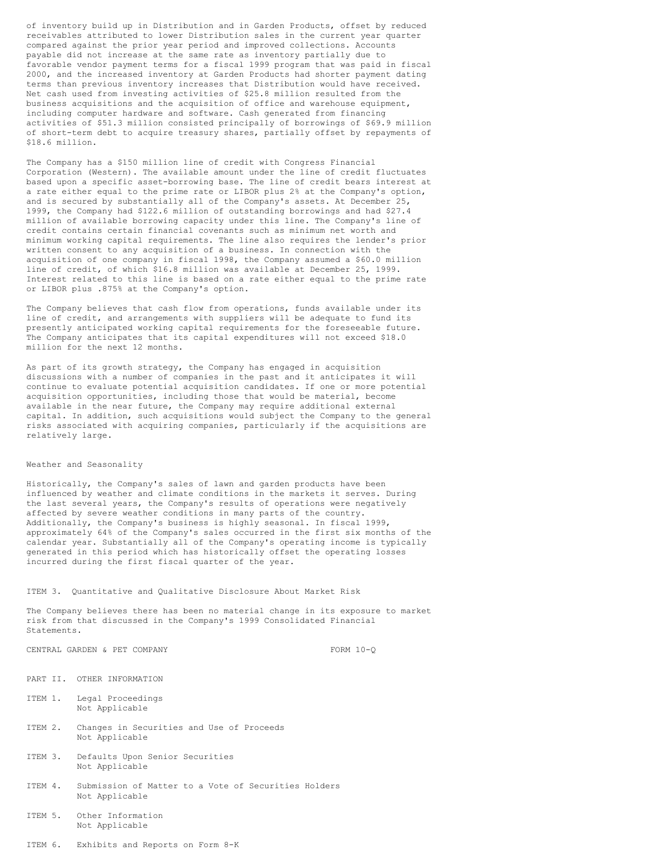of inventory build up in Distribution and in Garden Products, offset by reduced receivables attributed to lower Distribution sales in the current year quarter compared against the prior year period and improved collections. Accounts payable did not increase at the same rate as inventory partially due to favorable vendor payment terms for a fiscal 1999 program that was paid in fiscal 2000, and the increased inventory at Garden Products had shorter payment dating terms than previous inventory increases that Distribution would have received. Net cash used from investing activities of \$25.8 million resulted from the business acquisitions and the acquisition of office and warehouse equipment, including computer hardware and software. Cash generated from financing activities of \$51.3 million consisted principally of borrowings of \$69.9 million of short-term debt to acquire treasury shares, partially offset by repayments of \$18.6 million.

The Company has a \$150 million line of credit with Congress Financial Corporation (Western). The available amount under the line of credit fluctuates based upon a specific asset-borrowing base. The line of credit bears interest at a rate either equal to the prime rate or LIBOR plus 2% at the Company's option, and is secured by substantially all of the Company's assets. At December 25, 1999, the Company had \$122.6 million of outstanding borrowings and had \$27.4 million of available borrowing capacity under this line. The Company's line of credit contains certain financial covenants such as minimum net worth and minimum working capital requirements. The line also requires the lender's prior written consent to any acquisition of a business. In connection with the acquisition of one company in fiscal 1998, the Company assumed a \$60.0 million line of credit, of which \$16.8 million was available at December 25, 1999. Interest related to this line is based on a rate either equal to the prime rate or LIBOR plus .875% at the Company's option.

The Company believes that cash flow from operations, funds available under its line of credit, and arrangements with suppliers will be adequate to fund its presently anticipated working capital requirements for the foreseeable future. The Company anticipates that its capital expenditures will not exceed \$18.0 million for the next 12 months.

As part of its growth strategy, the Company has engaged in acquisition discussions with a number of companies in the past and it anticipates it will continue to evaluate potential acquisition candidates. If one or more potential acquisition opportunities, including those that would be material, become available in the near future, the Company may require additional external capital. In addition, such acquisitions would subject the Company to the general risks associated with acquiring companies, particularly if the acquisitions are relatively large.

## Weather and Seasonality

Historically, the Company's sales of lawn and garden products have been influenced by weather and climate conditions in the markets it serves. During the last several years, the Company's results of operations were negatively affected by severe weather conditions in many parts of the country. Additionally, the Company's business is highly seasonal. In fiscal 1999, approximately 64% of the Company's sales occurred in the first six months of the calendar year. Substantially all of the Company's operating income is typically generated in this period which has historically offset the operating losses incurred during the first fiscal quarter of the year.

### ITEM 3. Quantitative and Qualitative Disclosure About Market Risk

The Company believes there has been no material change in its exposure to market risk from that discussed in the Company's 1999 Consolidated Financial Statements.

CENTRAL GARDEN & PET COMPANY  $FORM 10-Q$ 

PART II. OTHER INFORMATION

- ITEM 1. Legal Proceedings Not Applicable
- ITEM 2. Changes in Securities and Use of Proceeds Not Applicable
- ITEM 3. Defaults Upon Senior Securities Not Applicable
- ITEM 4. Submission of Matter to a Vote of Securities Holders Not Applicable
- ITEM 5. Other Information Not Applicable
- ITEM 6. Exhibits and Reports on Form 8-K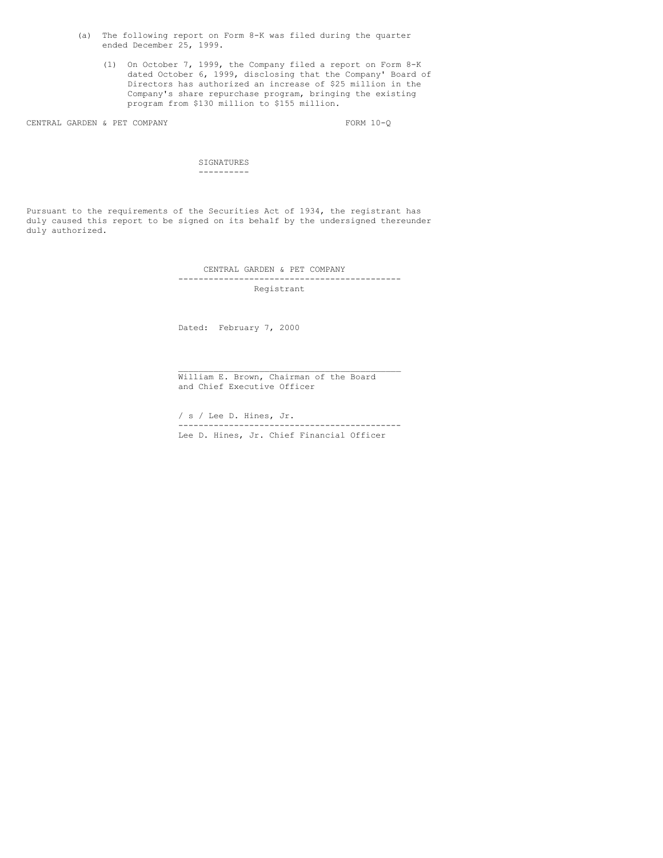- (a) The following report on Form 8-K was filed during the quarter ended December 25, 1999.
	- (1) On October 7, 1999, the Company filed a report on Form 8-K dated October 6, 1999, disclosing that the Company' Board of Directors has authorized an increase of \$25 million in the Company's share repurchase program, bringing the existing program from \$130 million to \$155 million.

CENTRAL GARDEN & PET COMPANY FORM 10-Q

SIGNATURES ----------

Pursuant to the requirements of the Securities Act of 1934, the registrant has duly caused this report to be signed on its behalf by the undersigned thereunder duly authorized.

> CENTRAL GARDEN & PET COMPANY -------------------------------------------- Registrant

Dated: February 7, 2000

William E. Brown, Chairman of the Board and Chief Executive Officer

/ s / Lee D. Hines, Jr. -------------------------------------------- Lee D. Hines, Jr. Chief Financial Officer

\_\_\_\_\_\_\_\_\_\_\_\_\_\_\_\_\_\_\_\_\_\_\_\_\_\_\_\_\_\_\_\_\_\_\_\_\_\_\_\_\_\_\_\_